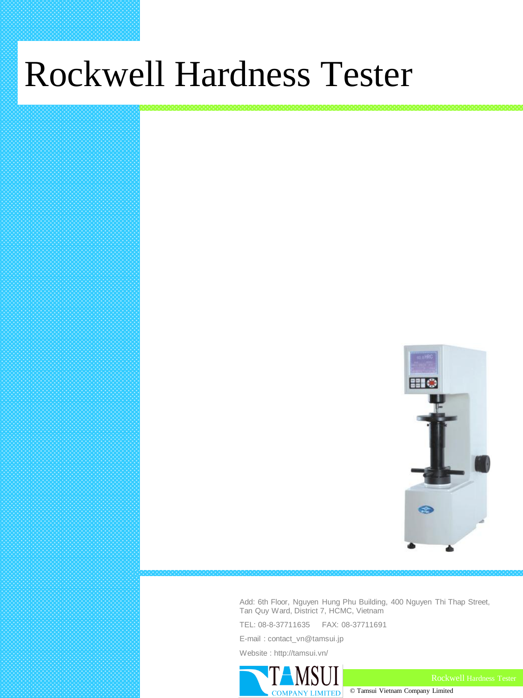# Rockwell Hardness Tester



Add: 6th Floor, Nguyen Hung Phu Building, 400 Nguyen Thi Thap Street, Tan Quy Ward, District 7, HCMC, Vietnam

© Tamsui Vietnam Company Limited

TEL: 08-8-37711635 FAX: 08-37711691

E-mail : contact\_vn@tamsui.jp

Website : http://tamsui.vn/

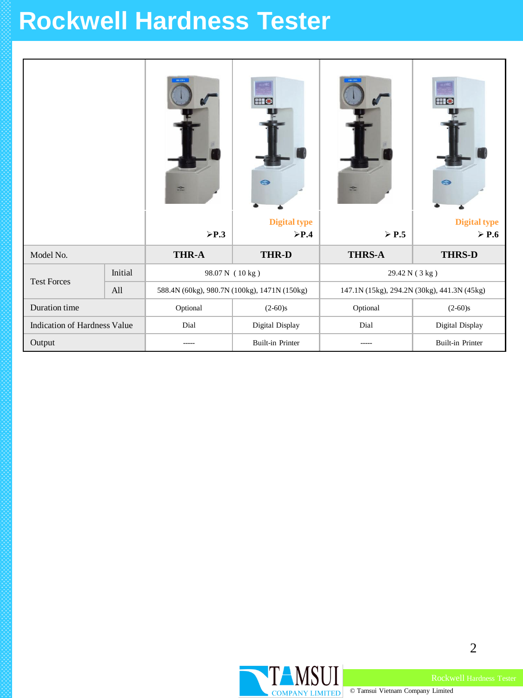### **Rockwell Hardness Tester**

|                              |         | <b>HR-159A</b><br>$rac{1}{\sqrt{2}}$<br>$\triangleright$ P.3 | <b>EIG</b><br>$\odot$<br><b>Digital type</b><br>$\triangleright$ P.4 | $rac{1}{\sqrt{2}}$<br>$\triangleright$ P.5  | <b>EIG</b><br>G<br><b>Digital type</b><br>$\triangleright$ P.6 |
|------------------------------|---------|--------------------------------------------------------------|----------------------------------------------------------------------|---------------------------------------------|----------------------------------------------------------------|
| Model No.                    |         | <b>THR-A</b>                                                 | <b>THR-D</b>                                                         | <b>THRS-A</b>                               | <b>THRS-D</b>                                                  |
| <b>Test Forces</b>           | Initial | 98.07 N (10 kg)                                              |                                                                      | 29.42 N (3 kg)                              |                                                                |
|                              | All     | 588.4N (60kg), 980.7N (100kg), 1471N (150kg)                 |                                                                      | 147.1N (15kg), 294.2N (30kg), 441.3N (45kg) |                                                                |
| Duration time                |         | Optional                                                     | $(2-60)s$                                                            | Optional                                    | $(2-60)s$                                                      |
| Indication of Hardness Value |         | Dial                                                         | Digital Display                                                      | Dial                                        | Digital Display                                                |
| Output                       |         |                                                              | <b>Built-in Printer</b>                                              |                                             | <b>Built-in Printer</b>                                        |



2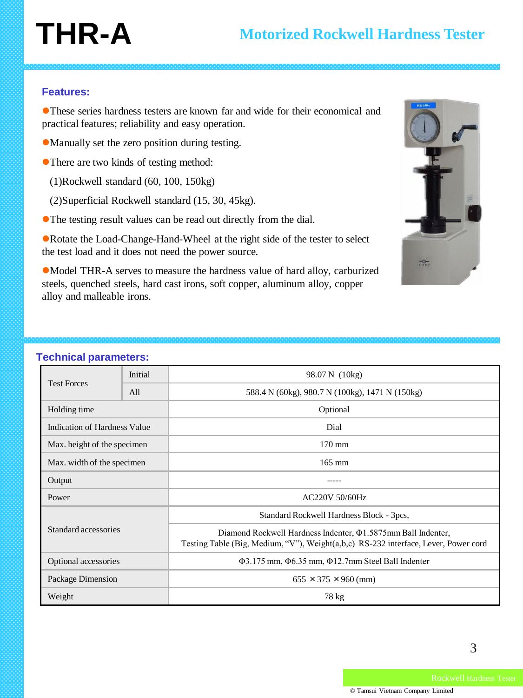# **THR-A**

### **Features:**

These series hardness testers are known far and wide for their economical and practical features; reliability and easy operation.

Manually set the zero position during testing.

There are two kinds of testing method:

(1)Rockwell standard (60, 100, 150kg)

(2)Superficial Rockwell standard (15, 30, 45kg).

The testing result values can be read out directly from the dial.

Rotate the Load-Change-Hand-Wheel at the right side of the tester to select the test load and it does not need the power source.

Model THR-A serves to measure the hardness value of hard alloy, carburized steels, quenched steels, hard cast irons, soft copper, aluminum alloy, copper alloy and malleable irons.

| <b>Test Forces</b>           | Initial | 98.07 N (10kg)                                                                                                                                            |  |
|------------------------------|---------|-----------------------------------------------------------------------------------------------------------------------------------------------------------|--|
|                              | All     | 588.4 N (60kg), 980.7 N (100kg), 1471 N (150kg)                                                                                                           |  |
| Holding time                 |         | Optional                                                                                                                                                  |  |
| Indication of Hardness Value |         | Dial                                                                                                                                                      |  |
| Max. height of the specimen  |         | $170 \text{ mm}$                                                                                                                                          |  |
| Max. width of the specimen   |         | $165 \text{ mm}$                                                                                                                                          |  |
| Output                       |         |                                                                                                                                                           |  |
| Power                        |         | <b>AC220V 50/60Hz</b>                                                                                                                                     |  |
| Standard accessories         |         | Standard Rockwell Hardness Block - 3pcs,                                                                                                                  |  |
|                              |         | Diamond Rockwell Hardness Indenter, $\Phi$ 1.5875mm Ball Indenter,<br>Testing Table (Big, Medium, "V"), Weight(a,b,c) RS-232 interface, Lever, Power cord |  |
| Optional accessories         |         | $\Phi$ 3.175 mm, $\Phi$ 6.35 mm, $\Phi$ 12.7mm Steel Ball Indenter                                                                                        |  |
| Package Dimension            |         | $655 \times 375 \times 960$ (mm)                                                                                                                          |  |
| Weight                       |         | 78 kg                                                                                                                                                     |  |

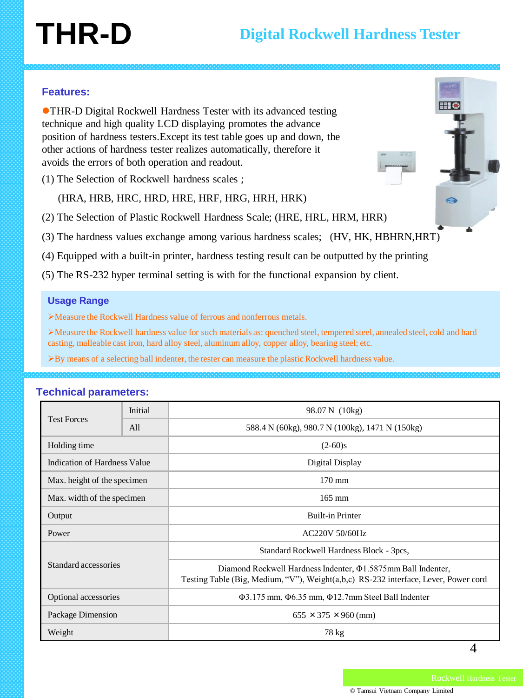# **THR-D**

### **Features:**

THR-D Digital Rockwell Hardness Tester with its advanced testing technique and high quality LCD displaying promotes the advance position of hardness testers.Except its test table goes up and down, the other actions of hardness tester realizes automatically, therefore it avoids the errors of both operation and readout.

(1) The Selection of Rockwell hardness scales ;

(HRA, HRB, HRC, HRD, HRE, HRF, HRG, HRH, HRK)

(2) The Selection of Plastic Rockwell Hardness Scale; (HRE, HRL, HRM, HRR)

(3) The hardness values exchange among various hardness scales; (HV, HK, HBHRN,HRT)

(4) Equipped with a built-in printer, hardness testing result can be outputted by the printing

(5) The RS-232 hyper terminal setting is with for the functional expansion by client.

#### **Usage Range**

Measure the Rockwell Hardness value of ferrous and nonferrous metals.

Measure the Rockwell hardness value for such materials as: quenched steel, tempered steel, annealed steel, cold and hard casting, malleable cast iron, hard alloy steel, aluminum alloy, copper alloy, bearing steel; etc.

By means of a selecting ball indenter, the tester can measure the plastic Rockwell hardness value.

| <b>Test Forces</b>           | Initial | 98.07 N (10kg)                                                                                                                                            |  |
|------------------------------|---------|-----------------------------------------------------------------------------------------------------------------------------------------------------------|--|
|                              | All     | 588.4 N (60kg), 980.7 N (100kg), 1471 N (150kg)                                                                                                           |  |
| Holding time                 |         | $(2-60)s$                                                                                                                                                 |  |
| Indication of Hardness Value |         | Digital Display                                                                                                                                           |  |
| Max. height of the specimen  |         | $170 \text{ mm}$                                                                                                                                          |  |
| Max. width of the specimen   |         | $165 \text{ mm}$                                                                                                                                          |  |
| Output                       |         | <b>Built-in Printer</b>                                                                                                                                   |  |
| Power                        |         | <b>AC220V 50/60Hz</b>                                                                                                                                     |  |
| Standard accessories         |         | Standard Rockwell Hardness Block - 3pcs,                                                                                                                  |  |
|                              |         | Diamond Rockwell Hardness Indenter, $\Phi$ 1.5875mm Ball Indenter,<br>Testing Table (Big, Medium, "V"), Weight(a,b,c) RS-232 interface, Lever, Power cord |  |
| Optional accessories         |         | $\Phi$ 3.175 mm, $\Phi$ 6.35 mm, $\Phi$ 12.7mm Steel Ball Indenter                                                                                        |  |
| Package Dimension            |         | $655 \times 375 \times 960$ (mm)                                                                                                                          |  |
| Weight                       |         | 78 kg                                                                                                                                                     |  |

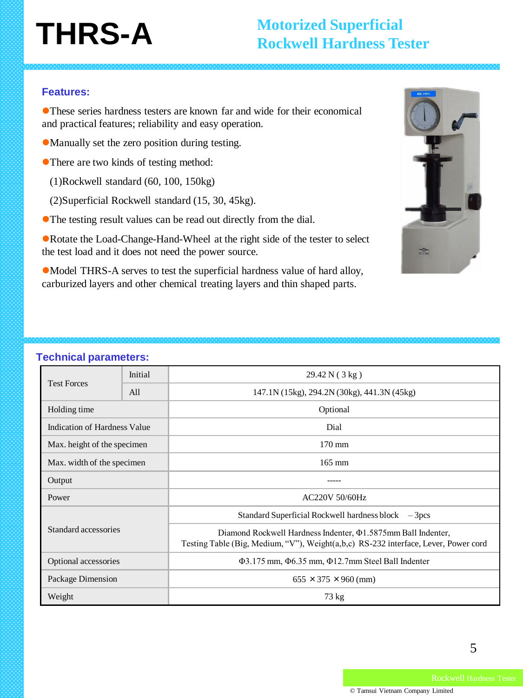# **THRS-A**

### **Motorized Superficial Rockwell Hardness Tester**

### **Features:**

These series hardness testers are known far and wide for their economical and practical features; reliability and easy operation.

- Manually set the zero position during testing.
- There are two kinds of testing method:
	- (1)Rockwell standard (60, 100, 150kg)
	- (2)Superficial Rockwell standard (15, 30, 45kg).
- The testing result values can be read out directly from the dial.

Rotate the Load-Change-Hand-Wheel at the right side of the tester to select the test load and it does not need the power source.

Model THRS-A serves to test the superficial hardness value of hard alloy, carburized layers and other chemical treating layers and thin shaped parts.



| <b>Test Forces</b>           | Initial | 29.42 N(3 kg)                                                                                                                                             |  |
|------------------------------|---------|-----------------------------------------------------------------------------------------------------------------------------------------------------------|--|
|                              | All     | 147.1N (15kg), 294.2N (30kg), 441.3N (45kg)                                                                                                               |  |
| Holding time                 |         | Optional                                                                                                                                                  |  |
| Indication of Hardness Value |         | Dial                                                                                                                                                      |  |
| Max. height of the specimen  |         | 170 mm                                                                                                                                                    |  |
| Max. width of the specimen   |         | $165$ mm                                                                                                                                                  |  |
| Output                       |         |                                                                                                                                                           |  |
| Power                        |         | <b>AC220V 50/60Hz</b>                                                                                                                                     |  |
| Standard accessories         |         | Standard Superficial Rockwell hardness block $-3$ pcs                                                                                                     |  |
|                              |         | Diamond Rockwell Hardness Indenter, $\Phi$ 1.5875mm Ball Indenter,<br>Testing Table (Big, Medium, "V"), Weight(a,b,c) RS-232 interface, Lever, Power cord |  |
| Optional accessories         |         | Φ3.175 mm, Φ6.35 mm, Φ12.7mm Steel Ball Indenter                                                                                                          |  |
| Package Dimension            |         | $655 \times 375 \times 960$ (mm)                                                                                                                          |  |
| Weight                       |         | 73 kg                                                                                                                                                     |  |